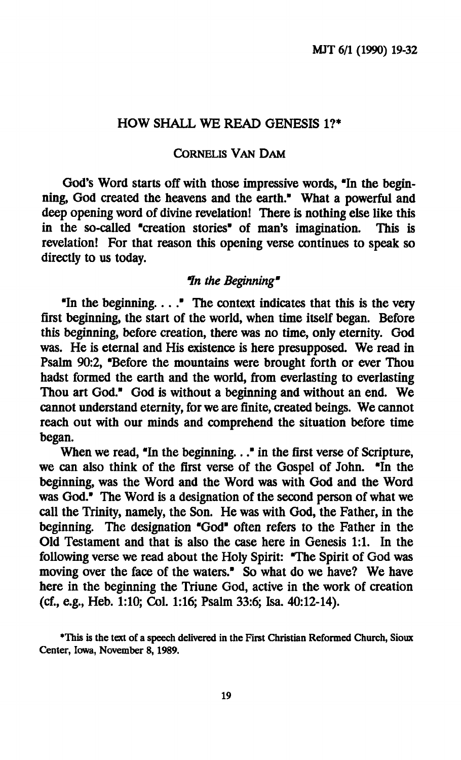### **HOW SHALL WE READ GENESIS 1?\***

#### **CORNELIS VAN DAM**

**God's Word starts off with those impressive words, "In the beginning, God created the heavens and the earth." What a powerful and deep opening word of divine revelation! There is nothing else like this in the so-called "creation stories" of man's imagination. This is revelation! For that reason this opening verse continues to speak so directly to us today.** 

#### *In the Beginning"*

**"In the beginning... ." The context indicates that this is the very first beginning, the start of the world, when time itself began. Before this beginning, before creation, there was no time, only eternity. God was. He is eternal and His existence is here presupposed. We read in Psalm 90:2, "Before the mountains were brought forth or ever Thou hadst formed the earth and the world, from everlasting to everlasting Thou art God." God is without a beginning and without an end. We cannot understand eternity, for we are finite, created beings. We cannot reach out with our minds and comprehend the situation before time began.** 

When we read, "In the beginning..." in the first verse of Scripture, **we can also think of the first verse of the Gospel of John. "In the beginning, was the Word and the Word was with God and the Word was God." The Word is a designation of the second person of what we call the Trinity, namely, the Son. He was with God, the Father, in the beginning. The designation "God" often refers to the Father in the Old Testament and that is also the case here in Genesis 1:1. In the following verse we read about the Holy Spirit: "The Spirit of God was moving over the face of the waters." So what do we have? We have here in the beginning the Triune God, active in the work of creation (cf., e.g., Heb. 1:10; Col. 1:16; Psalm 33:6; Isa. 40:12-14).** 

**<sup>•</sup>This is the text of a speech delivered in the First Christian Reformed Church, Sioux Center, Iowa, November 8,1989.**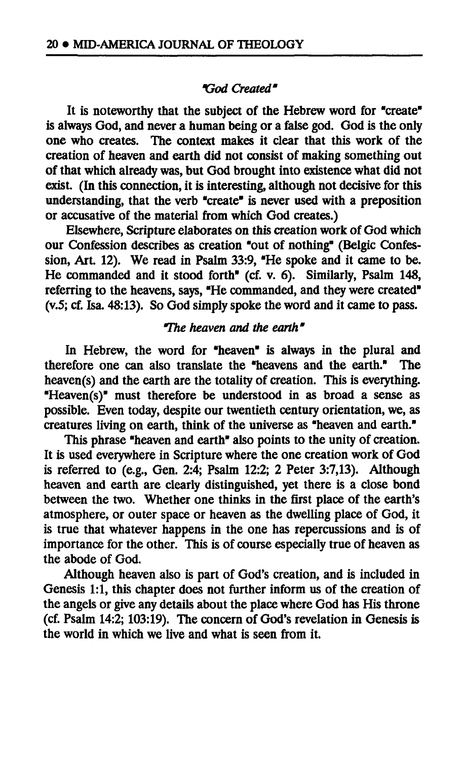### *"God Created"*

**It is noteworthy that the subject of the Hebrew word for "create" is always God, and never a human being or a false god. God is the only one who creates. The context makes it clear that this work of the creation of heaven and earth did not consist of making something out of that which already was, but God brought into existence what did not exist. (In this connection, it is interesting, although not decisive for this understanding, that the verb "create" is never used with a preposition or accusative of the material from which God creates.)** 

**Elsewhere, Scripture elaborates on this creation work of God which our Confession describes as creation "out of nothing" (Belgic Confession, Art. 12). We read in Psalm 33:9, "He spoke and it came to be. He commanded and it stood forth" (cf. v. 6). Similarly, Psalm 148, referring to the heavens, says, "He commanded, and they were created" (v.5; cf. Isa. 48:13). So God simply spoke the word and it came to pass.** 

# *"The heaven and the earth"*

**In Hebrew, the word for "heaven" is always in the plural and therefore one can also translate the "heavens and the earth." The heaven(s) and the earth are the totality of creation. This is everything. "Heaven(s)" must therefore be understood in as broad a sense as possible. Even today, despite our twentieth century orientation, we, as creatures living on earth, think of the universe as "heaven and earth."** 

**This phrase "heaven and earth" also points to the unity of creation. It is used everywhere in Scripture where the one creation work of God is referred to (e.g., Gen. 2:4; Psalm 12:2; 2 Peter 3:7,13). Although heaven and earth are clearly distinguished, yet there is a close bond between the two. Whether one thinks in the first place of the earth's atmosphere, or outer space or heaven as the dwelling place of God, it is true that whatever happens in the one has repercussions and is of importance for the other. This is of course especially true of heaven as the abode of God.** 

**Although heaven also is part of God's creation, and is included in**  Genesis 1:1, this chapter does not further inform us of the creation of **the angels or give any details about the place where God has His throne (cf. Psalm 14:2; 103:19). The concern of God's revelation in Genesis is the world in which we live and what is seen from it.**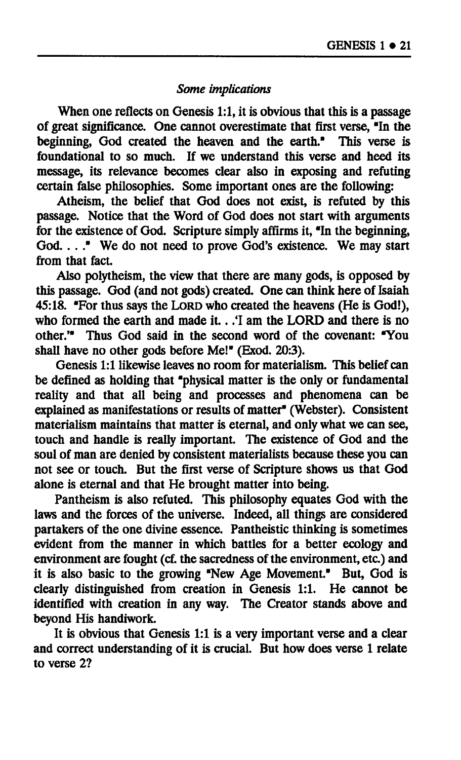### *Some implications*

**When one reflects on Genesis 1:1, it is obvious that this is a passage of great significance. One cannot overestimate that first verse, "In the beginning, God created the heaven and the earth." This verse is foundational to so much. If we understand this verse and heed its message, its relevance becomes clear also in exposing and refuting certain false philosophies. Some important ones are the following:** 

**Atheism, the belief that God does not exist, is refuted by this passage. Notice that the Word of God does not start with arguments for the existence of God. Scripture simply affirms it, "In the beginning, God. ... " We do not need to prove God's existence. We may start from that fact.** 

**Also polytheism, the view that there are many gods, is opposed by this passage. God (and not gods) created. One can think here of Isaiah 45:18. "For thus says the LORD who created the heavens (He is God!), who formed the earth and made it.. .Ί am the LORD and there is no other.'" Thus God said in the second word of the covenant: "You shall have no other gods before Me!" (Exod. 20:3).** 

**Genesis 1:1 likewise leaves no room for materialism. This belief can be defined as holding that "physical matter is the only or fundamental reality and that all being and processes and phenomena can be explained as manifestations or results of matter" (Webster). Consistent materialism maintains that matter is eternal, and only what we can see, touch and handle is really important. The existence of God and the soul of man are denied by consistent materialists because these you can not see or touch. But the first verse of Scripture shows us that God alone is eternal and that He brought matter into being.** 

**Pantheism is also refuted. This philosophy equates God with the**  laws and the forces of the universe. Indeed, all things are considered **partakers of the one divine essence. Pantheistic thinking is sometimes evident from the manner in which battles for a better ecology and**  environment are fought (cf. the sacredness of the environment, etc.) and **it is also basic to the growing "New Age Movement." But, God is clearly distinguished from creation in Genesis 1:1. He cannot be identified with creation in any way. The Creator stands above and beyond His handiwork.** 

**It is obvious that Genesis 1:1 is a very important verse and a clear and correct understanding of it is crucial. But how does verse 1 relate to verse 2?**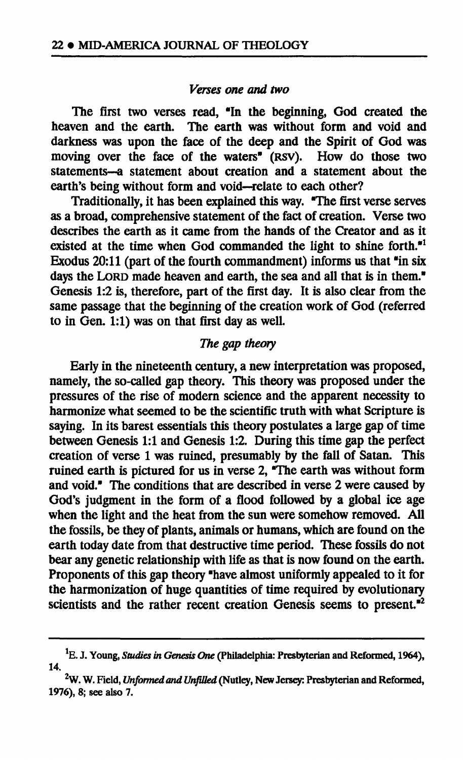#### *Verses one and two*

**The first two verses read, "In the beginning, God created the heaven and the earth. The earth was without form and void and darkness was upon the face of the deep and the Spirit of God was moving over the face of the waters" (RSV). How do those two statements—a statement about creation and a statement about the earth's being without form and void—relate to each other?** 

**Traditionally, it has been explained this way. "The first verse serves as a broad, comprehensive statement of the fact of creation. Verse two describes the earth as it came from the hands of the Creator and as it existed at the time when God commanded the light to shine forth."<sup>1</sup> Exodus 20:11 (part of the fourth commandment) informs us that "in six days the LORD made heaven and earth, the sea and all that is in them." Genesis 1:2 is, therefore, part of the first day. It is also clear from the same passage that the beginning of the creation work of God (referred to in Gen. 1:1) was on that first day as well.** 

# *The gap theory*

**Early in the nineteenth century, a new interpretation was proposed, namely, the so-called gap theory. This theory was proposed under the pressures of the rise of modern science and the apparent necessity to harmonize what seemed to be the scientific truth with what Scripture is saying. In its barest essentials this theory postulates a large gap of time between Genesis 1:1 and Genesis 1:2. During this time gap the perfect creation of verse 1 was ruined, presumably by the fall of Satan. This ruined earth is pictured for us in verse 2, "The earth was without form and void." The conditions that are described in verse 2 were caused by God's judgment in the form of a flood followed by a global ice age when the light and the heat from the sun were somehow removed. All the fossils, be they of plants, animals or humans, which are found on the earth today date from that destructive time period. These fossils do not bear any genetic relationship with life as that is now found on the earth. Proponents of this gap theory "have almost uniformly appealed to it for the harmonization of huge quantities of time required by evolutionary scientists and the rather recent creation Genesis seems to present."<sup>2</sup>**

**E. J. Young,** *Studies in Genesis One* **(Philadelphia: Presbyterian and Reformed, 1964), 14,** 

**<sup>2</sup>W. W. Field,** *Unformed and Unfilled* **(Nutley, New Jersey: Presbyterian and Reformed, 1976), 8; see also 7.**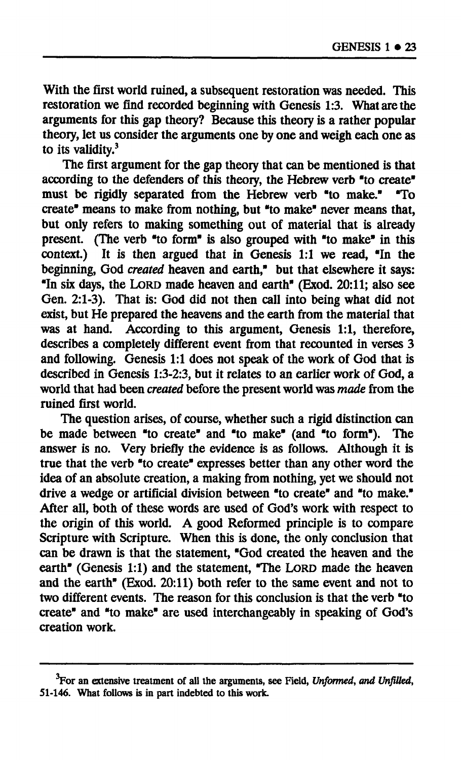**With the first world ruined, a subsequent restoration was needed. This restoration we find recorded beginning with Genesis 1:3. What are the arguments for this gap theory? Because this theory is a rather popular theory, let us consider the arguments one by one and weigh each one as to its validity.<sup>3</sup>**

**The first argument for the gap theory that can be mentioned is that according to the defenders of this theory, the Hebrew verb "to create" must be rigidly separated from the Hebrew verb "to make." "To create" means to make from nothing, but "to make" never means that, but only refers to making something out of material that is already present. (The verb "to form" is also grouped with "to make" in this context.) It is then argued that in Genesis 1:1 we read, "In the beginning, God** *created* **heaven and earth," but that elsewhere it says: "In six days, the LORD made heaven and earth" (Exod. 20:11; also see Gen. 2:1-3). That is: God did not then call into being what did not exist, but He prepared the heavens and the earth from the material that was at hand. According to this argument, Genesis 1:1, therefore, describes a completely different event from that recounted in verses 3 and following. Genesis 1:1 does not speak of the work of God that is described in Genesis 1:3-2:3, but it relates to an earlier work of God, a world that had been** *created* **before the present world was** *made* **from the ruined first world.** 

**The question arises, of course, whether such a rigid distinction can be made between "to create" and "to make" (and "to form"). The answer is no. Very briefly the evidence is as follows. Although it is true that the verb "to create" expresses better than any other word the idea of an absolute creation, a making from nothing, yet we should not drive a wedge or artificial division between "to create" and "to make." After all, both of these words are used of God's work with respect to the origin of this world. A good Reformed principle is to compare Scripture with Scripture. When this is done, the only conclusion that can be drawn is that the statement, "God created the heaven and the earth" (Genesis 1:1) and the statement, "The LORD made the heaven and the earth" (Exod. 20:11) both refer to the same event and not to two different events. The reason for this conclusion is that the verb "to create" and "to make" are used interchangeably in speaking of God's creation work.** 

**<sup>3</sup>For an extensive treatment of all the arguments, see Field,** *Unformed, and Unfilled,*  **51-146. What follows is in part indebted to this work.**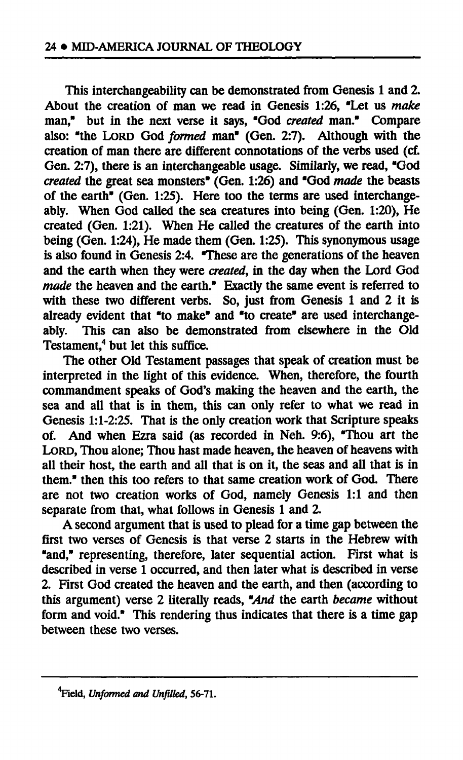**This interchangeability can be demonstrated from Genesis 1 and 2. About the creation of man we read in Genesis 1:26, "Let us** *make*  **man," but in the next verse it says, "God** *created* **man." Compare also: "the LORD God** *formed* **man" (Gen. 2:7). Although with the creation of man there are different connotations of the verbs used (cf. Gen. 2:7), there is an interchangeable usage. Similarly, we read, "God**  *created* **the great sea monsters" (Gen. 1:26) and "God** *made* **the beasts of the earth" (Gen. 1:25). Here too the terms are used interchangeably. When God called the sea creatures into being (Gen. 1:20), He created (Gen. 1:21). When He called the creatures of the earth into being (Gen. 1:24), He made them (Gen. 1:25). This synonymous usage is also found in Genesis 2:4. "These are the generations of the heaven**  and the earth when they were *created*, in the day when the Lord God *made* **the heaven and the earth." Exactly the same event is referred to with these two different verbs. So, just from Genesis 1 and 2 it is already evident that "to make" and "to create" are used interchangeably. This can also be demonstrated from elsewhere in the Old Testament,<sup>4</sup> but let this suffice.** 

**The other Old Testament passages that speak of creation must be interpreted in the light of this evidence. When, therefore, the fourth commandment speaks of God's making the heaven and the earth, the sea and all that is in them, this can only refer to what we read in Genesis 1:1-2:25. That is the only creation work that Scripture speaks of. And when Ezra said (as recorded in Neh. 9:6), "Thou art the LORD, Thou alone; Thou hast made heaven, the heaven of heavens with all their host, the earth and all that is on it, the seas and all that is in them." then this too refers to that same creation work of God. There are not two creation works of God, namely Genesis 1:1 and then separate from that, what follows in Genesis 1 and 2.** 

**A second argument that is used to plead for a time gap between the first two verses of Genesis is that verse 2 starts in the Hebrew with "and," representing, therefore, later sequential action. First what is described in verse 1 occurred, and then later what is described in verse 2. First God created the heaven and the earth, and then (according to this argument) verse 2 literally reads,** *"And* **the earth** *became* **without form and void." This rendering thus indicates that there is a time gap between these two verses.** 

**Vield,** *Unformed and Unfilled,* **56-71.**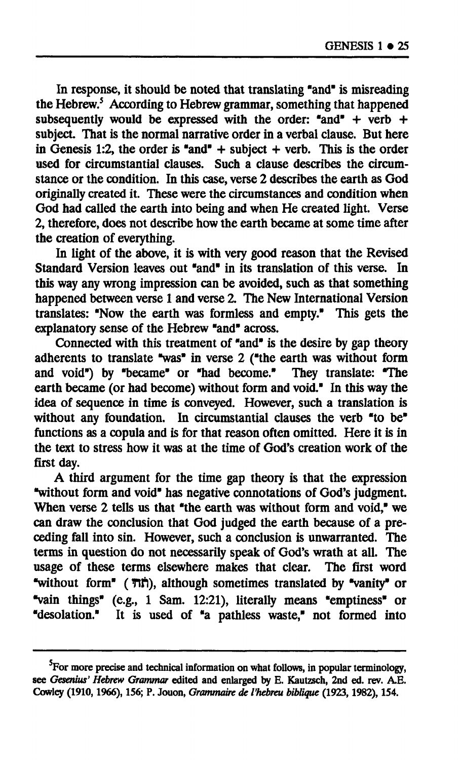**In response, it should be noted that translating "and" is misreading the Hebrew.<sup>5</sup> According to Hebrew grammar, something that happened subsequently would be expressed with the order: "and" + verb + subject. That is the normal narrative order in a verbal clause. But here in Genesis 1:2, the order is "and" + subject + verb. This is the order used for circumstantial clauses. Such a clause describes the circumstance or the condition. In this case, verse 2 describes the earth as God originally created it. These were the circumstances and condition when God had called the earth into being and when He created light. Verse 2, therefore, does not describe how the earth became at some time after the creation of everything.** 

**In light of the above, it is with very good reason that the Revised Standard Version leaves out "and" in its translation of this verse. In this way any wrong impression can be avoided, such as that something happened between verse 1 and verse 2. The New International Version translates: "Now the earth was formless and empty." This gets the explanatory sense of the Hebrew "and" across.** 

**Connected with this treatment of "and" is the desire by gap theory adherents to translate "was" in verse 2 ("the earth was without form and void") by "became" or "had become." They translate: "The earth became (or had become) without form and void." In this way the idea of sequence in time is conveyed. However, such a translation is without any foundation. In circumstantial clauses the verb "to be" functions as a copula and is for that reason often omitted. Here it is in the text to stress how it was at the time of God's creation work of the first day.** 

**A third argument for the time gap theory is that the expression "without form and void" has negative connotations of God's judgment. When verse 2 tells us that "the earth was without form and void," we can draw the conclusion that God judged the earth because of a preceding fall into sin. However, such a conclusion is unwarranted. The terms in question do not necessarily speak of God's wrath at all. The usage of these terms elsewhere makes that clear. The first word "without form" ( Tift), although sometimes translated by "vanity" or "vain things" (e.g., 1 Sam. 12:21), literally means "emptiness" or "desolation." It is used of "a pathless waste," not formed into** 

**For more precise and technical information on what follows, in popular terminology, see** *Gesenius' Hebrew Grammar* **edited and enlarged by E. Kautzsch, 2nd ed. rev. A.E. Cowley (1910,1966), 156; P. Jouon,** *Grammaire de l'hébreu biblique* **(1923,1982), 154.**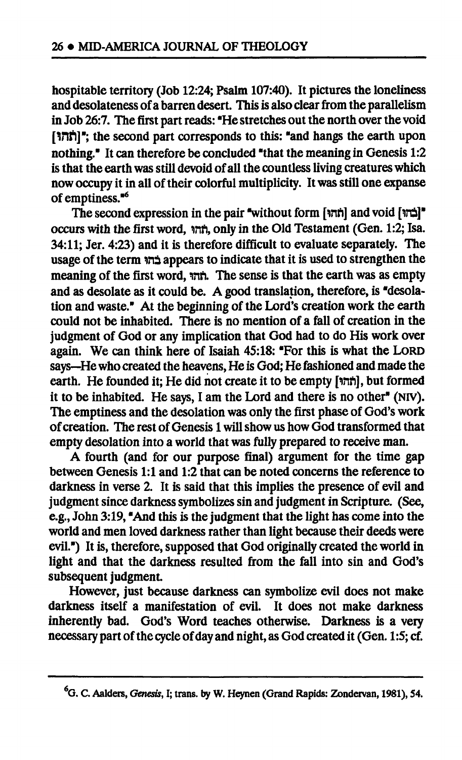**hospitable territory (Job 12:24; Psalm 107:40). It pictures the loneliness and desolateness of a barren desert. This is also clear from the parallelism in Job 26:7. The first part reads: "He stretches out the north over the void [Vtfl]"; the second part corresponds to this: "and hangs the earth upon nothing." It can therefore be concluded "that the meaning in Genesis 1:2 is that the earth was still devoid of all the countless living creatures which now occupy it in all of their colorful multiplicity. It was still one expanse of emptiness."<sup>6</sup>**

**The second expression in the pair "without form [inn] and void [irû]" occurs with the first word, inn, only in the Old Testament (Gen. 1:2; Isa. 34:11; Jer. 4:23) and it is therefore difficult to evaluate separately. The usage of the term ma appears to indicate that it is used to strengthen the meaning of the first word, inn. The sense is that the earth was as empty and as desolate as it could be. A good translation, therefore, is "desolation and waste." At the beginning of the Lord's creation work the earth could not be inhabited. There is no mention of a fall of creation in the judgment of God or any implication that God had to do His work over again. We can think here of Isaiah 45:18: "For this is what the LORD says—He who created the heavens, He is God; He fashioned and made the earth. He founded it; He did not create it to be empty [mft], but formed it to be inhabited. He says, I am the Lord and there is no other" (NIV). The emptiness and the desolation was only the first phase of God's work of creation. The rest of Genesis 1 will show us how God transformed that empty desolation into a world that was fully prepared to receive man.** 

**A fourth (and for our purpose final) argument for the time gap between Genesis 1:1 and 1:2 that can be noted concerns the reference to darkness in verse 2. It is said that this implies the presence of evil and judgment since darkness symbolizes sin and judgment in Scripture. (See, e.g., John 3:19, "And this is the judgment that the light has come into the world and men loved darkness rather than light because their deeds were evil") It is, therefore, supposed that God originally created the world in light and that the darkness resulted from the fall into sin and God's subsequent judgment.** 

**However, just because darkness can symbolize evil does not make darkness itself a manifestation of evil. It does not make darkness inherently bad. God's Word teaches otherwise. Darkness is a very necessary part of the cycle of day and night, as God created it (Gen. 1:5; cf.** 

**<sup>&#</sup>x27;G. C. Aalders,** *Genesis,* **I; trans, by W. Heynen (Grand Rapids: Zondervan, 1981), 54.**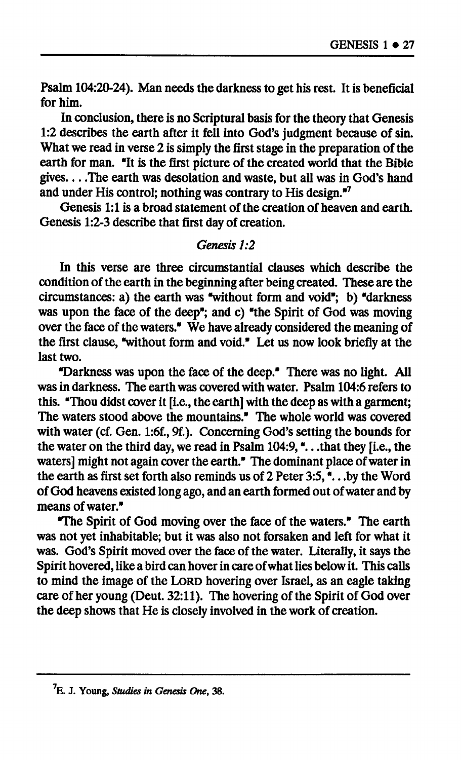**Psalm 104:20-24). Man needs the darkness to get his rest. It is beneficial for him.** 

**In conclusion, there is no Scriptural basis for the theory that Genesis 1:2 describes the earth after it fell into God's judgment because of sin. What we read in verse 2 is simply the first stage in the preparation of the earth for man. "It is the first picture of the created world that the Bible**  gives. . . . The earth was desolation and waste, but all was in God's hand **and under His control; nothing was contrary to His design."<sup>7</sup>**

**Genesis 1:1 is a broad statement of the creation of heaven and earth. Genesis 1:2-3 describe that first day of creation.** 

# *Genesis 1:2*

**In this verse are three circumstantial clauses which describe the condition of the earth in the beginning after being created. These are the circumstances: a) the earth was "without form and void"; b) "darkness was upon the face of the deep"; and c) "the Spirit of God was moving over the face of the waters." We have already considered the meaning of the first clause, "without form and void." Let us now look briefly at the last two.** 

**"Darkness was upon the face of the deep." There was no light. All was in darkness. The earth was covered with water. Psalm 104:6 refers to this. "Thou didst cover it [i.e., the earth] with the deep as with a garment; The waters stood above the mountains." The whole world was covered with water (cf. Gen. l:6f., 9f.). Concerning God's setting the bounds for the water on the third day, we read in Psalm 104:9, ".. .that they [i.e., the waters] might not again cover the earth." The dominant place of water in the earth as first set forth also reminds us of 2 Peter 3:5, ".. .by the Word of God heavens existed long ago, and an earth formed out of water and by means of water."** 

**"The Spirit of God moving over the face of the waters." The earth was not yet inhabitable; but it was also not forsaken and left for what it was. God's Spirit moved over the face of the water. Literally, it says the Spirit hovered, like a bird can hover in care of what lies below it. This calls to mind the image of the LORD hovering over Israel, as an eagle taking care of her young (Deut. 32:11). The hovering of the Spirit of God over the deep shows that He is closely involved in the work of creation.** 

**E. J. Young,** *Studies in Genesis One,* **38.**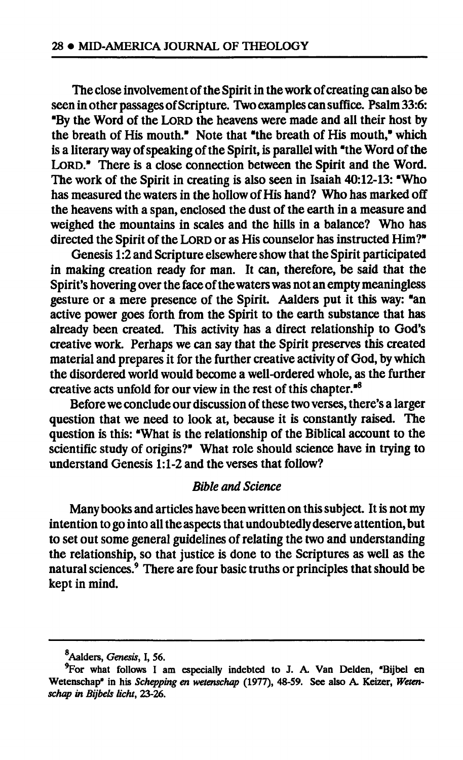**The close involvement of the Spirit in the work of creating can also be seen in other passages of Scripture. Two examples can suffice. Psalm 33:6: "By the Word of the LORD the heavens were made and all their host by the breath of His mouth." Note that "the breath of His mouth," which is a literary way of speaking of the Spirit, is parallel with "the Word of the LORD." There is a close connection between the Spirit and the Word. The work of the Spirit in creating is also seen in Isaiah 40:12-13: "Who has measured the waters in the hollow of His hand? Who has marked off the heavens with a span, enclosed the dust of the earth in a measure and weighed the mountains in scales and the hills in a balance? Who has directed the Spirit of the LORD or as His counselor has instructed Him?"** 

**Genesis 1:2 and Scripture elsewhere show that the Spirit participated in making creation ready for man. It can, therefore, be said that the Spirit's hovering over the face of the waters was not an empty meaningless gesture or a mere presence of the Spirit. Aalders put it this way: "an active power goes forth from the Spirit to the earth substance that has already been created. This activity has a direct relationship to God's creative work. Perhaps we can say that the Spirit preserves this created material and prepares it for the further creative activity of God, by which the disordered world would become a well-ordered whole, as the further creative acts unfold for our view in the rest of this chapter."<sup>8</sup>**

**Before we conclude our discussion of these two verses, there's a larger question that we need to look at, because it is constantly raised. The question is this: "What is the relationship of the Biblical account to the scientific study of origins?" What role should science have in trying to understand Genesis 1:1-2 and the verses that follow?** 

### *Bible and Science*

**Many books and articles have been written on this subject. It is not my intention to go into all the aspects that undoubtedly deserve attention, but to set out some general guidelines of relating the two and understanding the relationship, so that justice is done to the Scriptures as well as the natural sciences.<sup>9</sup> There are four basic truths or principles that should be kept in mind.** 

Aalders, *Genesis,* I, 56.

<sup>&</sup>lt;sup>9</sup> For what follows I am especially indebted to J. A. Van Delden, "Bijbel en Wetenschap" in his *Schepping en wetenschap* (1977), 48-59. See also A. Keizer, *Wetenschap in Bijbels licht,* **23-26.**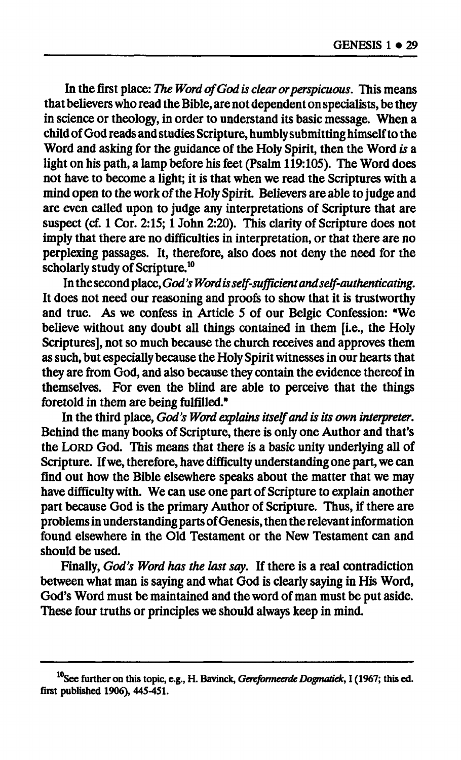In the first place: *The Word of God is clear or perspicuous*. This means **that believers who read the Bible, are not dependent on specialists, be they in science or theology, in order to understand its basic message. When a child of God reads and studies Scripture, humbly submitting himself to the**  Word and asking for the guidance of the Holy Spirit, then the Word is a **light on his path, a lamp before his feet (Psalm 119:105). The Word does not have to become a light; it is that when we read the Scriptures with a mind open to the work of the Holy Spirit. Believers are able to judge and are even called upon to judge any interpretations of Scripture that are suspect (cf. 1 Cor. 2:15; 1 John 2:20). This clarity of Scripture does not imply that there are no difficulties in interpretation, or that there are no perplexing passages. It, therefore, also does not deny the need for the scholarly study of Scripture.<sup>10</sup>**

**In the second place,** *God's Word is self-sufficient and self-authenticating.*  **It does not need our reasoning and proofs to show that it is trustworthy and true. As we confess in Article 5 of our Belgic Confession: "We believe without any doubt all things contained in them [i.e., the Holy Scriptures], not so much because the church receives and approves them as such, but especially because the Holy Spirit witnesses in our hearts that they are from God, and also because they contain the evidence thereof in themselves. For even the blind are able to perceive that the things foretold in them are being fulfilled."** 

**In the third place,** *God's Word explains itself and is its own interpreter.*  **Behind the many books of Scripture, there is only one Author and that's the LORD God. This means that there is a basic unity underlying all of Scripture. If we, therefore, have difficulty understanding one part, we can find out how the Bible elsewhere speaks about the matter that we may have difficulty with. We can use one part of Scripture to explain another part because God is the primary Author of Scripture. Thus, if there are problems in understanding parts of Genesis, then the relevant information found elsewhere in the Old Testament or the New Testament can and should be used.** 

**Finally,** *God's Word has the last say.* **If there is a real contradiction between what man is saying and what God is clearly saying in His Word, God's Word must be maintained and the word of man must be put aside. These four truths or principles we should always keep in mind.** 

**See further on this topic, e.g., H. Bavinck,** *Gereformeerde Dogmatiek,* **I (1967; this ed. first published 1906), 445-451.**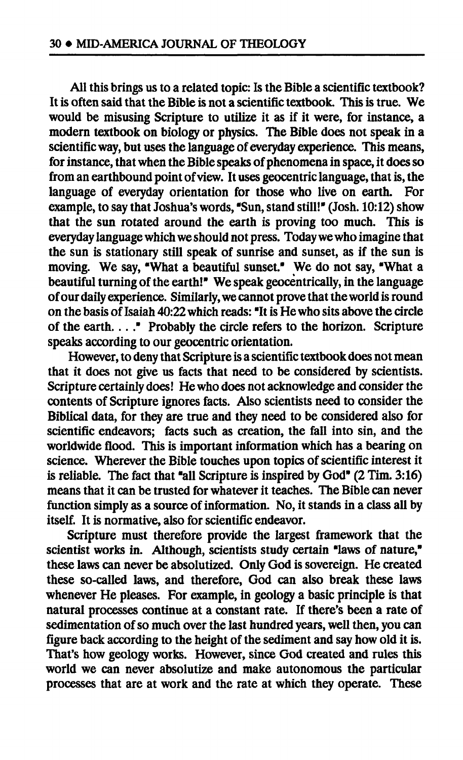**All this brings us to a related topic: Is the Bible a scientific textbook? It is often said that the Bible is not a scientific textbook. This is true. We would be misusing Scripture to utilize it as if it were, for instance, a modern textbook on biology or physics. The Bible does not speak in a scientific way, but uses the language of everyday experience. This means, for instance, that when the Bible speaks of phenomena in space, it does so from an earthbound point of view. It uses geocentric language, that is, the language of everyday orientation for those who live on earth. For example, to say that Joshua's words, "Sun, stand still!" (Josh. 10:12) show that the sun rotated around the earth is proving too much. This is everyday language which we should not press. Today we who imagine that the sun is stationary still speak of sunrise and sunset, as if the sun is moving. We say, "What a beautiful sunset." We do not say, "What a beautiful turning of the earth!" We speak geocentrically, in the language of our daily experience. Similarly, we cannot prove that the world is round on the basis of Isaiah 40:22 which reads: "It is He who sits above the circle of the earth...." Probably the circle refers to the horizon. Scripture speaks according to our geocentric orientation.** 

**However, to deny that Scripture is a scientific textbook does not mean that it does not give us facts that need to be considered by scientists. Scripture certainly does! He who does not acknowledge and consider the contents of Scripture ignores facts. Also scientists need to consider the Biblical data, for they are true and they need to be considered also for scientific endeavors; facts such as creation, the fall into sin, and the worldwide flood. This is important information which has a bearing on science. Wherever the Bible touches upon topics of scientific interest it is reliable. The fact that "all Scripture is inspired by God" (2 Tim. 3:16) means that it can be trusted for whatever it teaches. The Bible can never function simply as a source of information. No, it stands in a class all by itself. It is normative, also for scientific endeavor.** 

**Scripture must therefore provide the largest framework that the scientist works in. Although, scientists study certain "laws of nature," these laws can never be absolutized. Only God is sovereign. He created these so-called laws, and therefore, God can also break these laws whenever He pleases. For example, in geology a basic principle is that natural processes continue at a constant rate. If there's been a rate of sedimentation of so much over the last hundred years, well then, you can figure back according to the height of the sediment and say how old it is. That's how geology works. However, since God created and rules this world we can never absolutize and make autonomous the particular processes that are at work and the rate at which they operate. These**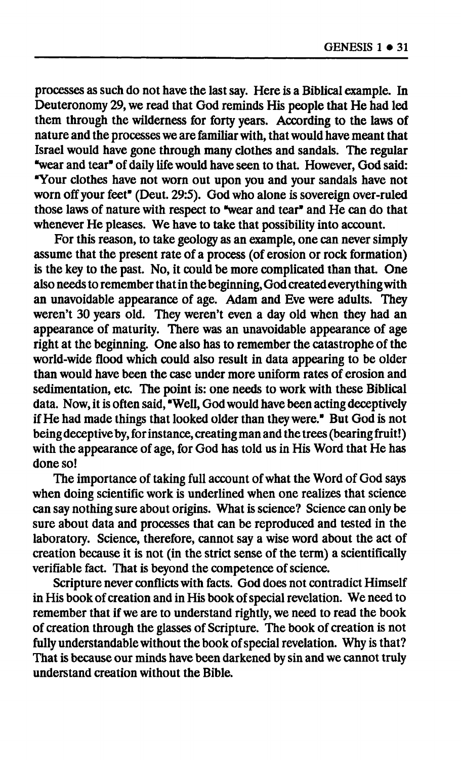**processes as such do not have the last say. Here is a Biblical example. In Deuteronomy 29, we read that God reminds His people that He had led them through the wilderness for forty years. According to the laws of nature and the processes we are familiar with, that would have meant that Israel would have gone through many clothes and sandals. The regular "wear and tear" of daily life would have seen to that. However, God said: "Your clothes have not worn out upon you and your sandals have not worn off your feet" (Deut. 29:5). God who alone is sovereign over-ruled those laws of nature with respect to "wear and tear" and He can do that whenever He pleases. We have to take that possibility into account.** 

**For this reason, to take geology as an example, one can never simply assume that the present rate of a process (of erosion or rock formation) is the key to the past. No, it could be more complicated than that. One also needs to remember that in the beginning, God created everything with an unavoidable appearance of age. Adam and Eve were adults. They weren't 30 years old. They weren't even a day old when they had an appearance of maturity. There was an unavoidable appearance of age right at the beginning. One also has to remember the catastrophe of the world-wide flood which could also result in data appearing to be older than would have been the case under more uniform rates of erosion and sedimentation, etc. The point is: one needs to work with these Biblical data. Now, it is often said, "Well, God would have been acting deceptively if He had made things that looked older than they were." But God is not being deceptive by, for instance, creating man and the trees (bearing fruit! ) with the appearance of age, for God has told us in His Word that He has done so!** 

**The importance of taking full account of what the Word of God says when doing scientific work is underlined when one realizes that science can say nothing sure about origins. What is science? Science can only be sure about data and processes that can be reproduced and tested in the laboratory. Science, therefore, cannot say a wise word about the act of creation because it is not (in the strict sense of the term) a scientifically verifiable fact. That is beyond the competence of science.** 

**Scripture never conflicts with facts. God does not contradict Himself in His book of creation and in His book of special revelation. We need to remember that if we are to understand rightly, we need to read the book of creation through the glasses of Scripture. The book of creation is not fully understandable without the book of special revelation. Why is that? That is because our minds have been darkened by sin and we cannot truly understand creation without the Bible.**